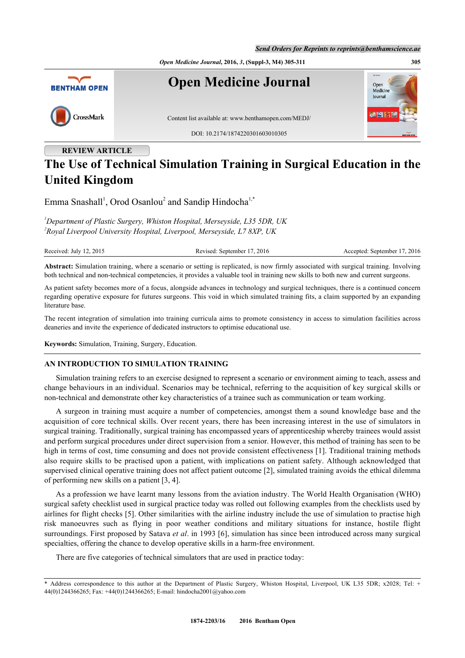

**REVIEW ARTICLE**

# **The Use of Technical Simulation Training in Surgical Education in the United Kingdom**

Emma Snashall<sup>[1](#page-0-0)</sup>, Orod Osanlou<sup>[2](#page-0-1)</sup> and Sandip Hindocha<sup>[1,](#page-0-0)[\\*](#page-0-2)</sup>

<span id="page-0-1"></span><span id="page-0-0"></span>*<sup>1</sup>Department of Plastic Surgery, Whiston Hospital, Merseyside, L35 5DR, UK 2 Royal Liverpool University Hospital, Liverpool, Merseyside, L7 8XP, UK*

| Received: July 12, 2015 |  |  |
|-------------------------|--|--|

Revised: September 17, 2016 Accepted: September 17, 2016

**Abstract:** Simulation training, where a scenario or setting is replicated, is now firmly associated with surgical training. Involving both technical and non-technical competencies, it provides a valuable tool in training new skills to both new and current surgeons.

As patient safety becomes more of a focus, alongside advances in technology and surgical techniques, there is a continued concern regarding operative exposure for futures surgeons. This void in which simulated training fits, a claim supported by an expanding literature base.

The recent integration of simulation into training curricula aims to promote consistency in access to simulation facilities across deaneries and invite the experience of dedicated instructors to optimise educational use.

**Keywords:** Simulation, Training, Surgery, Education.

## **AN INTRODUCTION TO SIMULATION TRAINING**

Simulation training refers to an exercise designed to represent a scenario or environment aiming to teach, assess and change behaviours in an individual. Scenarios may be technical, referring to the acquisition of key surgical skills or non-technical and demonstrate other key characteristics of a trainee such as communication or team working.

A surgeon in training must acquire a number of competencies, amongst them a sound knowledge base and the acquisition of core technical skills. Over recent years, there has been increasing interest in the use of simulators in surgical training. Traditionally, surgical training has encompassed years of apprenticeship whereby trainees would assist and perform surgical procedures under direct supervision from a senior. However, this method of training has seen to be high in terms of cost, time consuming and does not provide consistent effectiveness [[1\]](#page-4-0). Traditional training methods also require skills to be practised upon a patient, with implications on patient safety. Although acknowledged that supervised clinical operative training does not affect patient outcome [\[2](#page-4-1)], simulated training avoids the ethical dilemma of performing new skills on a patient [\[3](#page-4-2), [4](#page-4-3)].

As a profession we have learnt many lessons from the aviation industry. The World Health Organisation (WHO) surgical safety checklist used in surgical practice today was rolled out following examples from the checklists used by airlines for flight checks [\[5](#page-5-0)]. Other similarities with the airline industry include the use of simulation to practise high risk manoeuvres such as flying in poor weather conditions and military situations for instance, hostile flight surroundings. First proposed by Satava *et al*. in 1993 [[6\]](#page-5-1), simulation has since been introduced across many surgical specialties, offering the chance to develop operative skills in a harm-free environment.

There are five categories of technical simulators that are used in practice today:

<span id="page-0-2"></span>Address correspondence to this author at the Department of Plastic Surgery, Whiston Hospital, Liverpool, UK L35 5DR; x2028; Tel: + 44(0)1244366265; Fax: +44(0)1244366265; E-mail: [hindocha2001@yahoo.com](mailto:hindocha2001@yahoo.com)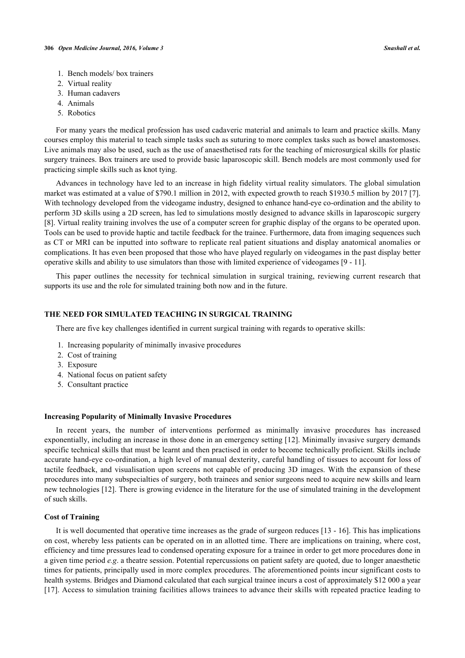- 1. Bench models/ box trainers
- 2. Virtual reality
- 3. Human cadavers
- 4. Animals
- 5. Robotics

For many years the medical profession has used cadaveric material and animals to learn and practice skills. Many courses employ this material to teach simple tasks such as suturing to more complex tasks such as bowel anastomoses. Live animals may also be used, such as the use of anaesthetised rats for the teaching of microsurgical skills for plastic surgery trainees. Box trainers are used to provide basic laparoscopic skill. Bench models are most commonly used for practicing simple skills such as knot tying.

Advances in technology have led to an increase in high fidelity virtual reality simulators. The global simulation market was estimated at a value of \$790.1 million in 2012, with expected growth to reach \$1930.5 million by 2017 [[7\]](#page-5-2). With technology developed from the videogame industry, designed to enhance hand-eye co-ordination and the ability to perform 3D skills using a 2D screen, has led to simulations mostly designed to advance skills in laparoscopic surgery [\[8](#page-5-3)]. Virtual reality training involves the use of a computer screen for graphic display of the organs to be operated upon. Tools can be used to provide haptic and tactile feedback for the trainee. Furthermore, data from imaging sequences such as CT or MRI can be inputted into software to replicate real patient situations and display anatomical anomalies or complications. It has even been proposed that those who have played regularly on videogames in the past display better operative skills and ability to use simulators than those with limited experience of videogames [[9](#page-5-4) - [11](#page-5-5)].

This paper outlines the necessity for technical simulation in surgical training, reviewing current research that supports its use and the role for simulated training both now and in the future.

# **THE NEED FOR SIMULATED TEACHING IN SURGICAL TRAINING**

There are five key challenges identified in current surgical training with regards to operative skills:

- 1. Increasing popularity of minimally invasive procedures
- 2. Cost of training
- 3. Exposure
- 4. National focus on patient safety
- 5. Consultant practice

### **Increasing Popularity of Minimally Invasive Procedures**

In recent years, the number of interventions performed as minimally invasive procedures has increased exponentially, including an increase in those done in an emergency setting [[12](#page-5-6)]. Minimally invasive surgery demands specific technical skills that must be learnt and then practised in order to become technically proficient. Skills include accurate hand-eye co-ordination, a high level of manual dexterity, careful handling of tissues to account for loss of tactile feedback, and visualisation upon screens not capable of producing 3D images. With the expansion of these procedures into many subspecialties of surgery, both trainees and senior surgeons need to acquire new skills and learn new technologies [\[12\]](#page-5-6). There is growing evidence in the literature for the use of simulated training in the development of such skills.

## **Cost of Training**

It is well documented that operative time increases as the grade of surgeon reduces [\[13](#page-5-7) - [16](#page-5-8)]. This has implications on cost, whereby less patients can be operated on in an allotted time. There are implications on training, where cost, efficiency and time pressures lead to condensed operating exposure for a trainee in order to get more procedures done in a given time period *e.g*. a theatre session. Potential repercussions on patient safety are quoted, due to longer anaesthetic times for patients, principally used in more complex procedures. The aforementioned points incur significant costs to health systems. Bridges and Diamond calculated that each surgical trainee incurs a cost of approximately \$12 000 a year [\[17](#page-5-9)]. Access to simulation training facilities allows trainees to advance their skills with repeated practice leading to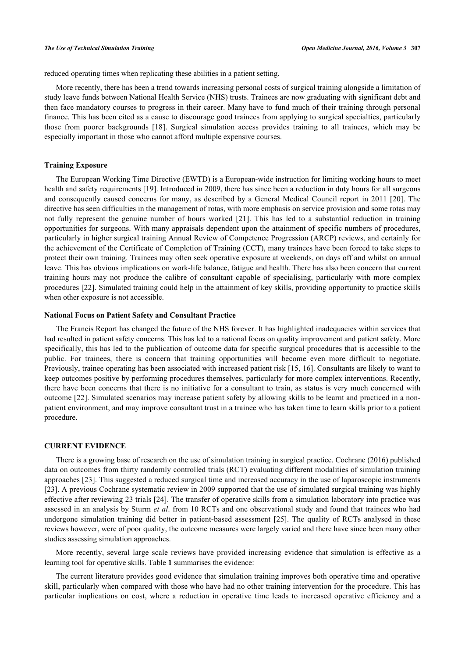reduced operating times when replicating these abilities in a patient setting.

More recently, there has been a trend towards increasing personal costs of surgical training alongside a limitation of study leave funds between National Health Service (NHS) trusts. Trainees are now graduating with significant debt and then face mandatory courses to progress in their career. Many have to fund much of their training through personal finance. This has been cited as a cause to discourage good trainees from applying to surgical specialties, particularly those from poorer backgrounds [\[18](#page-5-10)]. Surgical simulation access provides training to all trainees, which may be especially important in those who cannot afford multiple expensive courses.

## **Training Exposure**

The European Working Time Directive (EWTD) is a European-wide instruction for limiting working hours to meet health and safety requirements [[19\]](#page-5-11). Introduced in 2009, there has since been a reduction in duty hours for all surgeons and consequently caused concerns for many, as described by a General Medical Council report in 2011 [[20](#page-5-12)]. The directive has seen difficulties in the management of rotas, with more emphasis on service provision and some rotas may not fully represent the genuine number of hours worked[[21\]](#page-5-13). This has led to a substantial reduction in training opportunities for surgeons. With many appraisals dependent upon the attainment of specific numbers of procedures, particularly in higher surgical training Annual Review of Competence Progression (ARCP) reviews, and certainly for the achievement of the Certificate of Completion of Training (CCT), many trainees have been forced to take steps to protect their own training. Trainees may often seek operative exposure at weekends, on days off and whilst on annual leave. This has obvious implications on work-life balance, fatigue and health. There has also been concern that current training hours may not produce the calibre of consultant capable of specialising, particularly with more complex procedures [[22\]](#page-5-14). Simulated training could help in the attainment of key skills, providing opportunity to practice skills when other exposure is not accessible.

## **National Focus on Patient Safety and Consultant Practice**

The Francis Report has changed the future of the NHS forever. It has highlighted inadequacies within services that had resulted in patient safety concerns. This has led to a national focus on quality improvement and patient safety. More specifically, this has led to the publication of outcome data for specific surgical procedures that is accessible to the public. For trainees, there is concern that training opportunities will become even more difficult to negotiate. Previously, trainee operating has been associated with increased patient risk [\[15](#page-5-15), [16\]](#page-5-8). Consultants are likely to want to keep outcomes positive by performing procedures themselves, particularly for more complex interventions. Recently, there have been concerns that there is no initiative for a consultant to train, as status is very much concerned with outcome [\[22](#page-5-14)]. Simulated scenarios may increase patient safety by allowing skills to be learnt and practiced in a nonpatient environment, and may improve consultant trust in a trainee who has taken time to learn skills prior to a patient procedure.

### **CURRENT EVIDENCE**

There is a growing base of research on the use of simulation training in surgical practice. Cochrane (2016) published data on outcomes from thirty randomly controlled trials (RCT) evaluating different modalities of simulation training approaches [\[23](#page-5-16)]. This suggested a reduced surgical time and increased accuracy in the use of laparoscopic instruments [\[23](#page-5-16)]. A previous Cochrane systematic review in 2009 supported that the use of simulated surgical training was highly effective after reviewing 23 trials [\[24](#page-5-17)]. The transfer of operative skills from a simulation laboratory into practice was assessed in an analysis by Sturm *et al*. from 10 RCTs and one observational study and found that trainees who had undergone simulation training did better in patient-based assessment[[25](#page-5-18)]. The quality of RCTs analysed in these reviews however, were of poor quality, the outcome measures were largely varied and there have since been many other studies assessing simulation approaches.

More recently, several large scale reviews have provided increasing evidence that simulation is effective as a learning tool for operative skills. Table **[1](#page-3-0)** summarises the evidence:

The current literature provides good evidence that simulation training improves both operative time and operative skill, particularly when compared with those who have had no other training intervention for the procedure. This has particular implications on cost, where a reduction in operative time leads to increased operative efficiency and a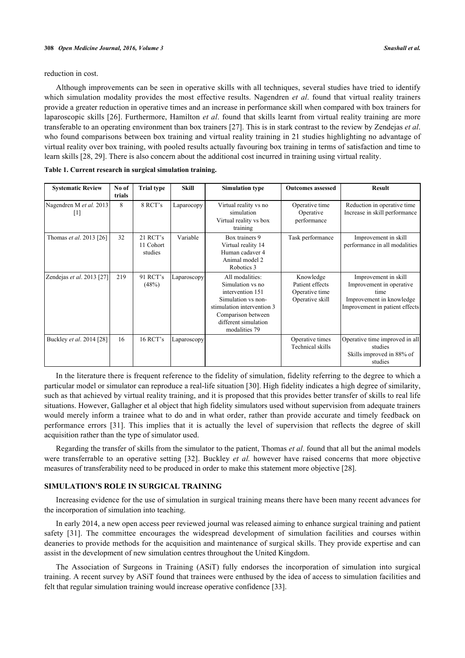reduction in cost.

Although improvements can be seen in operative skills with all techniques, several studies have tried to identify which simulation modality provides the most effective results. Nagendren *et al*. found that virtual reality trainers provide a greater reduction in operative times and an increase in performance skill when compared with box trainers for laparoscopic skills [[26\]](#page-5-19). Furthermore, Hamilton *et al*. found that skills learnt from virtual reality training are more transferable to an operating environment than box trainers [[27\]](#page-5-20). This is in stark contrast to the review by Zendejas *et al*. who found comparisons between box training and virtual reality training in 21 studies highlighting no advantage of virtual reality over box training, with pooled results actually favouring box training in terms of satisfaction and time to learn skills [\[28](#page-6-0), [29](#page-6-1)]. There is also concern about the additional cost incurred in training using virtual reality.

| <b>Systematic Review</b>                     | No of<br>trials | <b>Trial type</b>                | Skill       | <b>Simulation type</b>                                                                                                                                                     | <b>Outcomes assessed</b>                                          | <b>Result</b>                                                                                                          |
|----------------------------------------------|-----------------|----------------------------------|-------------|----------------------------------------------------------------------------------------------------------------------------------------------------------------------------|-------------------------------------------------------------------|------------------------------------------------------------------------------------------------------------------------|
| Nagendren M et al. 2013<br>$\lceil 1 \rceil$ | 8               | 8 RCT's                          | Laparocopy  | Virtual reality vs no<br>simulation<br>Virtual reality vs box<br>training                                                                                                  | Operative time<br>Operative<br>performance                        | Reduction in operative time<br>Increase in skill performance                                                           |
| Thomas et al. 2013 [26]                      | 32              | 21 RCT's<br>11 Cohort<br>studies | Variable    | Box trainers 9<br>Virtual reality 14<br>Human cadaver 4<br>Animal model 2<br>Robotics 3                                                                                    | Task performance                                                  | Improvement in skill<br>performance in all modalities                                                                  |
| Zendejas et al. 2013 [27]                    | 219             | 91 RCT's<br>(48%)                | Laparoscopy | All modalities:<br>Simulation vs no<br>intervention 151<br>Simulation vs non-<br>stimulation intervention 3<br>Comparison between<br>different simulation<br>modalities 79 | Knowledge<br>Patient effects<br>Operative time<br>Operative skill | Improvement in skill<br>Improvement in operative<br>time<br>Improvement in knowledge<br>Improvement in patient effects |
| Buckley et al. 2014 [28]                     | 16              | 16 RCT's                         | Laparoscopy |                                                                                                                                                                            | Operative times<br>Technical skills                               | Operative time improved in all<br>studies<br>Skills improved in 88% of<br>studies                                      |

<span id="page-3-0"></span>

|  | Table 1. Current research in surgical simulation training. |
|--|------------------------------------------------------------|
|--|------------------------------------------------------------|

In the literature there is frequent reference to the fidelity of simulation, fidelity referring to the degree to which a particular model or simulator can reproduce a real-life situation [\[30\]](#page-6-2). High fidelity indicates a high degree of similarity, such as that achieved by virtual reality training, and it is proposed that this provides better transfer of skills to real life situations. However, Gallagher et al object that high fidelity simulators used without supervision from adequate trainers would merely inform a trainee what to do and in what order, rather than provide accurate and timely feedback on performance errors [\[31\]](#page-6-3). This implies that it is actually the level of supervision that reflects the degree of skill acquisition rather than the type of simulator used.

Regarding the transfer of skills from the simulator to the patient, Thomas *et al*. found that all but the animal models were transferrable to an operative setting[[32\]](#page-6-4). Buckley *et al.* however have raised concerns that more objective measures of transferability need to be produced in order to make this statement more objective [[28\]](#page-6-0).

## **SIMULATION'S ROLE IN SURGICAL TRAINING**

Increasing evidence for the use of simulation in surgical training means there have been many recent advances for the incorporation of simulation into teaching.

In early 2014, a new open access peer reviewed journal was released aiming to enhance surgical training and patient safety [\[31\]](#page-6-3). The committee encourages the widespread development of simulation facilities and courses within deaneries to provide methods for the acquisition and maintenance of surgical skills. They provide expertise and can assist in the development of new simulation centres throughout the United Kingdom.

The Association of Surgeons in Training (ASiT) fully endorses the incorporation of simulation into surgical training. A recent survey by ASiT found that trainees were enthused by the idea of access to simulation facilities and felt that regular simulation training would increase operative confidence [\[33](#page-6-5)].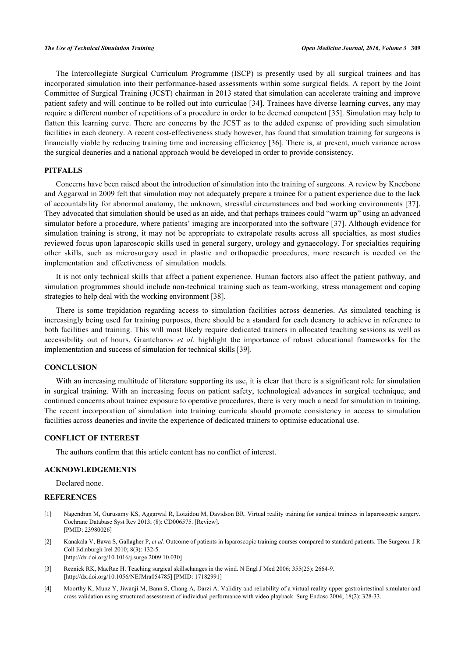The Intercollegiate Surgical Curriculum Programme (ISCP) is presently used by all surgical trainees and has incorporated simulation into their performance-based assessments within some surgical fields. A report by the Joint Committee of Surgical Training (JCST) chairman in 2013 stated that simulation can accelerate training and improve patient safety and will continue to be rolled out into curriculae [[34\]](#page-6-6). Trainees have diverse learning curves, any may require a different number of repetitions of a procedure in order to be deemed competent [[35\]](#page-6-7). Simulation may help to flatten this learning curve. There are concerns by the JCST as to the added expense of providing such simulation facilities in each deanery. A recent cost-effectiveness study however, has found that simulation training for surgeons is financially viable by reducing training time and increasing efficiency [\[36\]](#page-6-8). There is, at present, much variance across the surgical deaneries and a national approach would be developed in order to provide consistency.

# **PITFALLS**

Concerns have been raised about the introduction of simulation into the training of surgeons. A review by Kneebone and Aggarwal in 2009 felt that simulation may not adequately prepare a trainee for a patient experience due to the lack of accountability for abnormal anatomy, the unknown, stressful circumstances and bad working environments [\[37\]](#page-6-9). They advocated that simulation should be used as an aide, and that perhaps trainees could "warm up" using an advanced simulator before a procedure, where patients' imaging are incorporated into the software [\[37\]](#page-6-9). Although evidence for simulation training is strong, it may not be appropriate to extrapolate results across all specialties, as most studies reviewed focus upon laparoscopic skills used in general surgery, urology and gynaecology. For specialties requiring other skills, such as microsurgery used in plastic and orthopaedic procedures, more research is needed on the implementation and effectiveness of simulation models.

It is not only technical skills that affect a patient experience. Human factors also affect the patient pathway, and simulation programmes should include non-technical training such as team-working, stress management and coping strategies to help deal with the working environment [\[38](#page-6-10)].

There is some trepidation regarding access to simulation facilities across deaneries. As simulated teaching is increasingly being used for training purposes, there should be a standard for each deanery to achieve in reference to both facilities and training. This will most likely require dedicated trainers in allocated teaching sessions as well as accessibility out of hours. Grantcharov *et al*. highlight the importance of robust educational frameworks for the implementation and success of simulation for technical skills [[39\]](#page-6-11).

## **CONCLUSION**

With an increasing multitude of literature supporting its use, it is clear that there is a significant role for simulation in surgical training. With an increasing focus on patient safety, technological advances in surgical technique, and continued concerns about trainee exposure to operative procedures, there is very much a need for simulation in training. The recent incorporation of simulation into training curricula should promote consistency in access to simulation facilities across deaneries and invite the experience of dedicated trainers to optimise educational use.

#### **CONFLICT OF INTEREST**

The authors confirm that this article content has no conflict of interest.

### **ACKNOWLEDGEMENTS**

Declared none.

#### **REFERENCES**

- <span id="page-4-0"></span>[1] Nagendran M, Gurusamy KS, Aggarwal R, Loizidou M, Davidson BR. Virtual reality training for surgical trainees in laparoscopic surgery. Cochrane Database Syst Rev 2013; (8): CD006575. [Review]. [PMID: [23980026\]](http://www.ncbi.nlm.nih.gov/pubmed/23980026)
- <span id="page-4-1"></span>[2] Kanakala V, Bawa S, Gallagher P, *et al.* Outcome of patients in laparoscopic training courses compared to standard patients. The Surgeon. J R Coll Edinburgh Irel 2010; 8(3): 132-5. [\[http://dx.doi.org/10.1016/j.surge.2009.10.030](http://dx.doi.org/10.1016/j.surge.2009.10.030)]
- <span id="page-4-2"></span>[3] Reznick RK, MacRae H. Teaching surgical skillschanges in the wind. N Engl J Med 2006; 355(25): 2664-9. [\[http://dx.doi.org/10.1056/NEJMra054785\]](http://dx.doi.org/10.1056/NEJMra054785) [PMID: [17182991](http://www.ncbi.nlm.nih.gov/pubmed/17182991)]
- <span id="page-4-3"></span>[4] Moorthy K, Munz Y, Jiwanji M, Bann S, Chang A, Darzi A. Validity and reliability of a virtual reality upper gastrointestinal simulator and cross validation using structured assessment of individual performance with video playback. Surg Endosc 2004; 18(2): 328-33.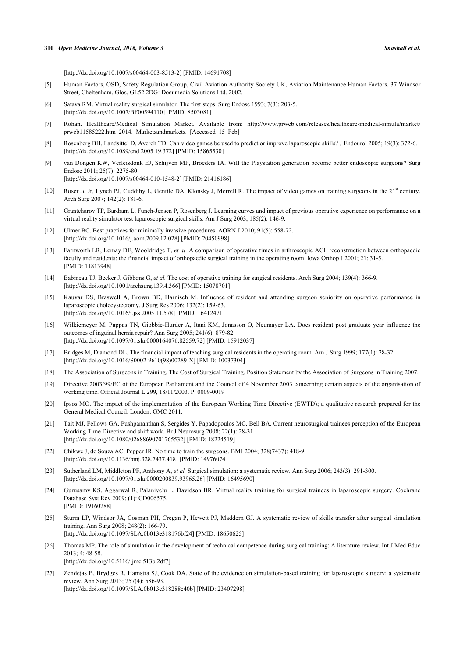[\[http://dx.doi.org/10.1007/s00464-003-8513-2\]](http://dx.doi.org/10.1007/s00464-003-8513-2) [PMID: [14691708](http://www.ncbi.nlm.nih.gov/pubmed/14691708)]

- <span id="page-5-0"></span>[5] Human Factors, OSD, Safety Regulation Group, Civil Aviation Authority Society UK, Aviation Maintenance Human Factors. 37 Windsor Street, Cheltenham, Glos, GL52 2DG: Documedia Solutions Ltd. 2002.
- <span id="page-5-1"></span>[6] Satava RM. Virtual reality surgical simulator. The first steps. Surg Endosc 1993; 7(3): 203-5. [\[http://dx.doi.org/10.1007/BF00594110\]](http://dx.doi.org/10.1007/BF00594110) [PMID: [8503081](http://www.ncbi.nlm.nih.gov/pubmed/8503081)]
- <span id="page-5-2"></span>[7] Rohan. Healthcare/Medical Simulation Market. Available from: [http://www.prweb.com/releases/healthcare-medical-simula/market/](http://www.prweb.com/%20releases/%20healthcare-medical-simula/%20market/%20prweb11585222.htm) [prweb11585222.htm](http://www.prweb.com/%20releases/%20healthcare-medical-simula/%20market/%20prweb11585222.htm) 2014. Marketsandmarkets. [Accessed 15 Feb]
- <span id="page-5-3"></span>[8] Rosenberg BH, Landsittel D, Averch TD. Can video games be used to predict or improve laparoscopic skills? J Endourol 2005; 19(3): 372-6. [\[http://dx.doi.org/10.1089/end.2005.19.372](http://dx.doi.org/10.1089/end.2005.19.372)] [PMID: [15865530\]](http://www.ncbi.nlm.nih.gov/pubmed/15865530)
- <span id="page-5-4"></span>[9] van Dongen KW, Verleisdonk EJ, Schijven MP, Broeders IA. Will the Playstation generation become better endoscopic surgeons? Surg Endosc 2011; 25(7): 2275-80. [\[http://dx.doi.org/10.1007/s00464-010-1548-2\]](http://dx.doi.org/10.1007/s00464-010-1548-2) [PMID: [21416186](http://www.ncbi.nlm.nih.gov/pubmed/21416186)]
- [10] Roser Jc Jr, Lynch PJ, Cuddihy L, Gentile DA, Klonsky J, Merrell R. The impact of video games on training surgeons in the  $21<sup>st</sup>$  century. Arch Surg 2007; 142(2): 181-6.
- <span id="page-5-5"></span>[11] Grantcharov TP, Bardram L, Funch-Jensen P, Rosenberg J. Learning curves and impact of previous operative experience on performance on a virtual reality simulator test laparoscopic surgical skills. Am J Surg 2003; 185(2): 146-9.
- <span id="page-5-6"></span>[12] Ulmer BC. Best practices for minimally invasive procedures. AORN J 2010; 91(5): 558-72. [\[http://dx.doi.org/10.1016/j.aorn.2009.12.028](http://dx.doi.org/10.1016/j.aorn.2009.12.028)] [PMID: [20450998\]](http://www.ncbi.nlm.nih.gov/pubmed/20450998)
- <span id="page-5-7"></span>[13] Farnworth LR, Lemay DE, Wooldridge T, *et al.* A comparison of operative times in arthroscopic ACL reconstruction between orthopaedic faculty and residents: the financial impact of orthopaedic surgical training in the operating room. Iowa Orthop J 2001; 21: 31-5. [PMID: [11813948\]](http://www.ncbi.nlm.nih.gov/pubmed/11813948)
- [14] Babineau TJ, Becker J, Gibbons G, *et al.* The cost of operative training for surgical residents. Arch Surg 2004; 139(4): 366-9. [\[http://dx.doi.org/10.1001/archsurg.139.4.366](http://dx.doi.org/10.1001/archsurg.139.4.366)] [PMID: [15078701\]](http://www.ncbi.nlm.nih.gov/pubmed/15078701)
- <span id="page-5-15"></span>[15] Kauvar DS, Braswell A, Brown BD, Harnisch M. Influence of resident and attending surgeon seniority on operative performance in laparoscopic cholecystectomy. J Surg Res 2006; 132(2): 159-63. [\[http://dx.doi.org/10.1016/j.jss.2005.11.578](http://dx.doi.org/10.1016/j.jss.2005.11.578)] [PMID: [16412471](http://www.ncbi.nlm.nih.gov/pubmed/16412471)]
- <span id="page-5-8"></span>[16] Wilkiemeyer M, Pappas TN, Giobbie-Hurder A, Itani KM, Jonasson O, Neumayer LA. Does resident post graduate year influence the outcomes of inguinal hernia repair? Ann Surg 2005; 241(6): 879-82. [\[http://dx.doi.org/10.1097/01.sla.0000164076.82559.72\]](http://dx.doi.org/10.1097/01.sla.0000164076.82559.72) [PMID: [15912037](http://www.ncbi.nlm.nih.gov/pubmed/15912037)]
- <span id="page-5-9"></span>[17] Bridges M, Diamond DL. The financial impact of teaching surgical residents in the operating room. Am J Surg 1999; 177(1): 28-32. [\[http://dx.doi.org/10.1016/S0002-9610\(98\)00289-X\]](http://dx.doi.org/10.1016/S0002-9610(98)00289-X) [PMID: [10037304](http://www.ncbi.nlm.nih.gov/pubmed/10037304)]
- <span id="page-5-10"></span>[18] The Association of Surgeons in Training. The Cost of Surgical Training. Position Statement by the Association of Surgeons in Training 2007.
- <span id="page-5-11"></span>[19] Directive 2003/99/EC of the European Parliament and the Council of 4 November 2003 concerning certain aspects of the organisation of working time. Official Journal L 299, 18/11/2003. P. 0009-0019
- <span id="page-5-12"></span>[20] Ipsos MO. The impact of the implementation of the European Working Time Directive (EWTD); a qualitative research prepared for the General Medical Council. London: GMC 2011.
- <span id="page-5-13"></span>[21] Tait MJ, Fellows GA, Pushpananthan S, Sergides Y, Papadopoulos MC, Bell BA. Current neurosurgical trainees perception of the European Working Time Directive and shift work. Br J Neurosurg 2008; 22(1): 28-31. [\[http://dx.doi.org/10.1080/02688690701765532\]](http://dx.doi.org/10.1080/02688690701765532) [PMID: [18224519](http://www.ncbi.nlm.nih.gov/pubmed/18224519)]
- <span id="page-5-14"></span>[22] Chikwe J, de Souza AC, Pepper JR. No time to train the surgeons. BMJ 2004; 328(7437): 418-9. [\[http://dx.doi.org/10.1136/bmj.328.7437.418](http://dx.doi.org/10.1136/bmj.328.7437.418)] [PMID: [14976074\]](http://www.ncbi.nlm.nih.gov/pubmed/14976074)
- <span id="page-5-16"></span>[23] Sutherland LM, Middleton PF, Anthony A, *et al.* Surgical simulation: a systematic review. Ann Surg 2006; 243(3): 291-300. [\[http://dx.doi.org/10.1097/01.sla.0000200839.93965.26\]](http://dx.doi.org/10.1097/01.sla.0000200839.93965.26) [PMID: [16495690](http://www.ncbi.nlm.nih.gov/pubmed/16495690)]
- <span id="page-5-17"></span>[24] Gurusamy KS, Aggarwal R, Palanivelu L, Davidson BR. Virtual reality training for surgical trainees in laparoscopic surgery. Cochrane Database Syst Rev 2009; (1): CD006575. [PMID: [19160288\]](http://www.ncbi.nlm.nih.gov/pubmed/19160288)
- <span id="page-5-18"></span>[25] Sturm LP, Windsor JA, Cosman PH, Cregan P, Hewett PJ, Maddern GJ. A systematic review of skills transfer after surgical simulation training. Ann Surg 2008; 248(2): 166-79. [\[http://dx.doi.org/10.1097/SLA.0b013e318176bf24](http://dx.doi.org/10.1097/SLA.0b013e318176bf24)] [PMID: [18650625\]](http://www.ncbi.nlm.nih.gov/pubmed/18650625)
- <span id="page-5-19"></span>[26] Thomas MP. The role of simulation in the development of technical competence during surgical training: A literature review. Int J Med Educ  $2013 \cdot 4 \cdot 48 - 58$

[\[http://dx.doi.org/10.5116/ijme.513b.2df7\]](http://dx.doi.org/10.5116/ijme.513b.2df7)

<span id="page-5-20"></span>[27] Zendejas B, Brydges R, Hamstra SJ, Cook DA. State of the evidence on simulation-based training for laparoscopic surgery: a systematic review. Ann Surg 2013; 257(4): 586-93. [\[http://dx.doi.org/10.1097/SLA.0b013e318288c40b](http://dx.doi.org/10.1097/SLA.0b013e318288c40b)] [PMID: [23407298\]](http://www.ncbi.nlm.nih.gov/pubmed/23407298)